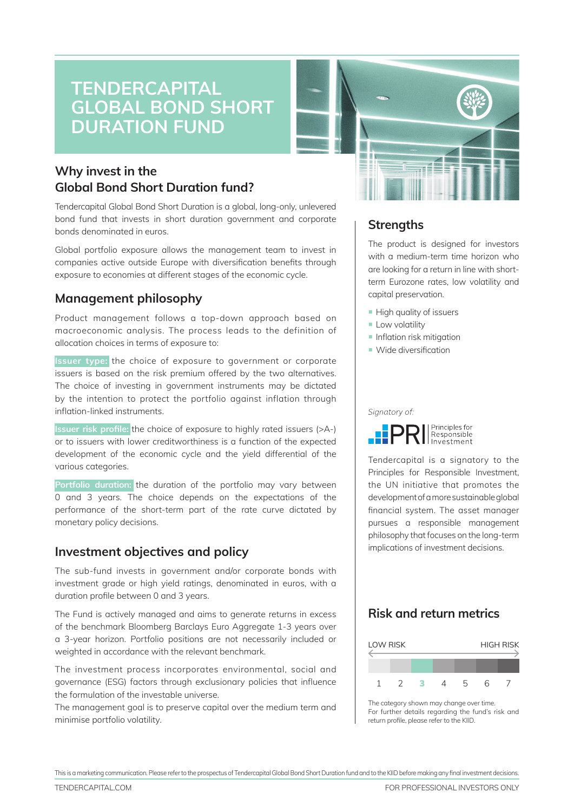# **Tendercapital GLOBAL BOND SHORT DURATION FUN**

## **Why invest in the Global Bond Short Duration fund?**

Tendercapital Global Bond Short Duration is a global, long-only, unlevered bond fund that invests in short duration government and corporate bonds denominated in euros.

Global portfolio exposure allows the management team to invest in companies active outside Europe with diversification benefits through exposure to economies at different stages of the economic cycle.

## **Management philosophy**

Product management follows a top-down approach based on macroeconomic analysis. The process leads to the definition of allocation choices in terms of exposure to:

**Issuer type:** the choice of exposure to government or corporate issuers is based on the risk premium offered by the two alternatives. The choice of investing in government instruments may be dictated by the intention to protect the portfolio against inflation through inflation-linked instruments.

**Issuer risk profile:** the choice of exposure to highly rated issuers (>A-) or to issuers with lower creditworthiness is a function of the expected development of the economic cycle and the yield differential of the various categories.

**Portfolio duration:** the duration of the portfolio may vary between 0 and 3 years. The choice depends on the expectations of the performance of the short-term part of the rate curve dictated by monetary policy decisions.

## **Investment objectives and policy**

The sub-fund invests in government and/or corporate bonds with investment grade or high yield ratings, denominated in euros, with a duration profile between 0 and 3 years.

The Fund is actively managed and aims to generate returns in excess of the benchmark Bloomberg Barclays Euro Aggregate 1-3 years over a 3-year horizon. Portfolio positions are not necessarily included or weighted in accordance with the relevant benchmark.

The investment process incorporates environmental, social and governance (ESG) factors through exclusionary policies that influence the formulation of the investable universe.

The management goal is to preserve capital over the medium term and minimise portfolio volatility.



## **Strengths**

The product is designed for investors with a medium-term time horizon who are looking for a return in line with shortterm Eurozone rates, low volatility and capital preservation.

- **High quality of issuers**
- **E** Low volatility
- $\blacksquare$  Inflation risk mitigation
- Wide diversification

Signatory of:



Tendercapital is a signatory to the Principles for Responsible Investment, the UN initiative that promotes the development of a more sustainable global financial system. The asset manager pursues a responsible management philosophy that focuses on the long-term implications of investment decisions.

## **Risk and return metrics**



The category shown may change over time. For further details regarding the fund's risk and return profile, please refer to the KIID.

This is a marketing communication. Please referto the prospectus of Tendercapital Global Bond Short Duration fund and to the KIID before making any final investment decisions.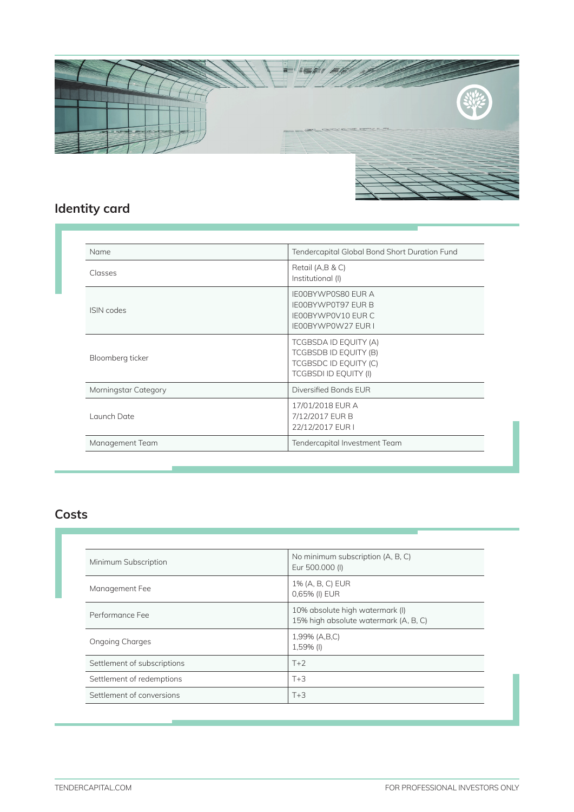

## **Identity card**

| Name                 | Tendercapital Global Bond Short Duration Fund                                                             |
|----------------------|-----------------------------------------------------------------------------------------------------------|
| <b>Classes</b>       | Retail (A,B & C)<br>Institutional (I)                                                                     |
| <b>ISIN</b> codes    | <b>IEOOBYWPOS80 EUR A</b><br><b>IEOOBYWPOT97 EUR B</b><br>IE00BYWP0V10 EUR C<br><b>IE00BYWP0W27 EUR I</b> |
| Bloomberg ticker     | TCGBSDA ID EQUITY (A)<br>TCGBSDB ID EQUITY (B)<br>TCGBSDC ID EQUITY (C)<br><b>TCGBSDI ID EQUITY (I)</b>   |
| Morningstar Category | Diversified Bonds EUR                                                                                     |
| Launch Date          | 17/01/2018 EUR A<br>7/12/2017 EUR B<br>22/12/2017 EUR I                                                   |
| Management Team      | Tendercapital Investment Team                                                                             |

## **Costs**

| No minimum subscription (A, B, C)<br>Eur 500.000 (I)                     |
|--------------------------------------------------------------------------|
| 1% (A, B, C) EUR<br>0,65% (I) EUR                                        |
| 10% absolute high watermark (I)<br>15% high absolute watermark (A, B, C) |
| 1,99% (A,B,C)<br>1,59% (l)                                               |
| $T+2$                                                                    |
| $T+3$                                                                    |
| $T+3$                                                                    |
|                                                                          |